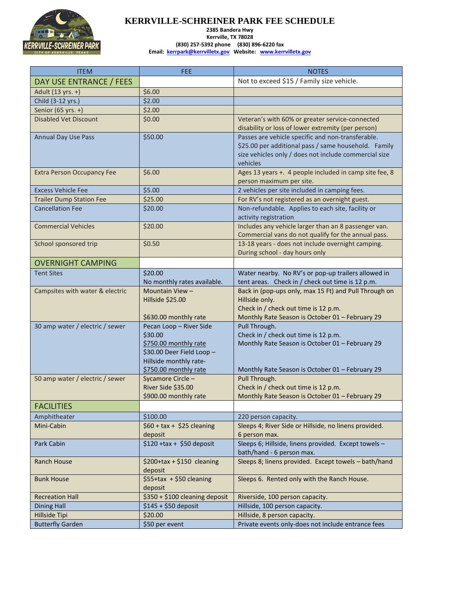

## **KERRVILLE-SCHREINER PARK FEE SCHEDULE 2385 Bandera Hwy Kerrville, TX 78028 (830) 257-5392 phone (830) 896-6220 fax Email: [kerrpark@kerrvilletx.gov](mailto:kerrpark@kerrvilletx.gov) Website: [www.kerrvilletx.gov](http://www.kerrvilletx.gov/)**

| <b>ITEM</b>                       | <b>FEE</b>                                  | <b>NOTES</b>                                                                            |
|-----------------------------------|---------------------------------------------|-----------------------------------------------------------------------------------------|
| DAY USE ENTRANCE / FEES           |                                             | Not to exceed \$15 / Family size vehicle.                                               |
| Adult (13 yrs. +)                 | \$6.00                                      |                                                                                         |
| Child (3-12 yrs.)                 | \$2.00                                      |                                                                                         |
| Senior (65 yrs. +)                | \$2.00                                      |                                                                                         |
| <b>Disabled Vet Discount</b>      | \$0.00                                      | Veteran's with 60% or greater service-connected                                         |
|                                   |                                             | disability or loss of lower extremity (per person)                                      |
| <b>Annual Day Use Pass</b>        | \$50.00                                     | Passes are vehicle specific and non-transferable.                                       |
|                                   |                                             | \$25.00 per additional pass / same household. Family                                    |
|                                   |                                             | size vehicles only / does not include commercial size<br>vehicles                       |
| <b>Extra Person Occupancy Fee</b> | \$6.00                                      | Ages 13 years +. 4 people included in camp site fee, 8                                  |
|                                   |                                             | person maximum per site.                                                                |
| <b>Excess Vehicle Fee</b>         | \$5.00                                      | 2 vehicles per site included in camping fees.                                           |
| <b>Trailer Dump Station Fee</b>   | \$25.00                                     | For RV's not registered as an overnight guest.                                          |
| <b>Cancellation Fee</b>           | \$20.00                                     | Non-refundable. Applies to each site, facility or                                       |
|                                   |                                             | activity registration                                                                   |
| <b>Commercial Vehicles</b>        | \$20.00                                     | Includes any vehicle larger than an 8 passenger van.                                    |
|                                   |                                             | Commercial vans do not qualify for the annual pass.                                     |
| School sponsored trip             | \$0.50                                      | 13-18 years - does not include overnight camping.                                       |
|                                   |                                             | During school - day hours only                                                          |
| <b>OVERNIGHT CAMPING</b>          |                                             |                                                                                         |
| <b>Tent Sites</b>                 | \$20.00                                     | Water nearby. No RV's or pop-up trailers allowed in                                     |
|                                   | No monthly rates available.                 | tent areas. Check in / check out time is 12 p.m.                                        |
| Campsites with water & electric   | Mountain View -<br>Hillside \$25.00         | Back in (pop-ups only, max 15 Ft) and Pull Through on<br>Hillside only.                 |
|                                   |                                             | Check in / check out time is 12 p.m.                                                    |
|                                   | \$630.00 monthly rate                       | Monthly Rate Season is October 01 - February 29                                         |
| 30 amp water / electric / sewer   | Pecan Loop - River Side                     | Pull Through.                                                                           |
|                                   | \$30.00                                     | Check in / check out time is 12 p.m.                                                    |
|                                   | \$750.00 monthly rate                       | Monthly Rate Season is October 01 - February 29                                         |
|                                   | \$30.00 Deer Field Loop -                   |                                                                                         |
|                                   | Hillside monthly rate-                      |                                                                                         |
|                                   | \$750.00 monthly rate                       | Monthly Rate Season is October 01 - February 29                                         |
| 50 amp water / electric / sewer   | Sycamore Circle-                            | Pull Through.                                                                           |
|                                   | River Side \$35.00<br>\$900.00 monthly rate | Check in / check out time is 12 p.m.<br>Monthly Rate Season is October 01 - February 29 |
| <b>FACILITIES</b>                 |                                             |                                                                                         |
| Amphitheater                      | \$100.00                                    | 220 person capacity.                                                                    |
| Mini-Cabin                        | $$60 + tax + $25$ cleaning                  | Sleeps 4; River Side or Hillside, no linens provided.                                   |
|                                   | deposit                                     | 6 person max.                                                                           |
| Park Cabin                        | $$120 + tax + $50$ deposit                  | Sleeps 6; Hillside, linens provided. Except towels -                                    |
|                                   |                                             | bath/hand - 6 person max.                                                               |
| <b>Ranch House</b>                | $$200+tax+$150 cleaning$                    | Sleeps 8; linens provided. Except towels - bath/hand                                    |
|                                   | deposit                                     |                                                                                         |
| <b>Bunk House</b>                 | \$55+tax + \$50 cleaning                    | Sleeps 6. Rented only with the Ranch House.                                             |
|                                   | deposit                                     |                                                                                         |
| <b>Recreation Hall</b>            | \$350 + \$100 cleaning deposit              | Riverside, 100 person capacity.                                                         |
| <b>Dining Hall</b>                | $$145 + $50$ deposit                        | Hillside, 100 person capacity.                                                          |
| Hillside Tipi                     | \$20.00                                     | Hillside, 8 person capacity.                                                            |
| <b>Butterfly Garden</b>           | \$50 per event                              | Private events only-does not include entrance fees                                      |